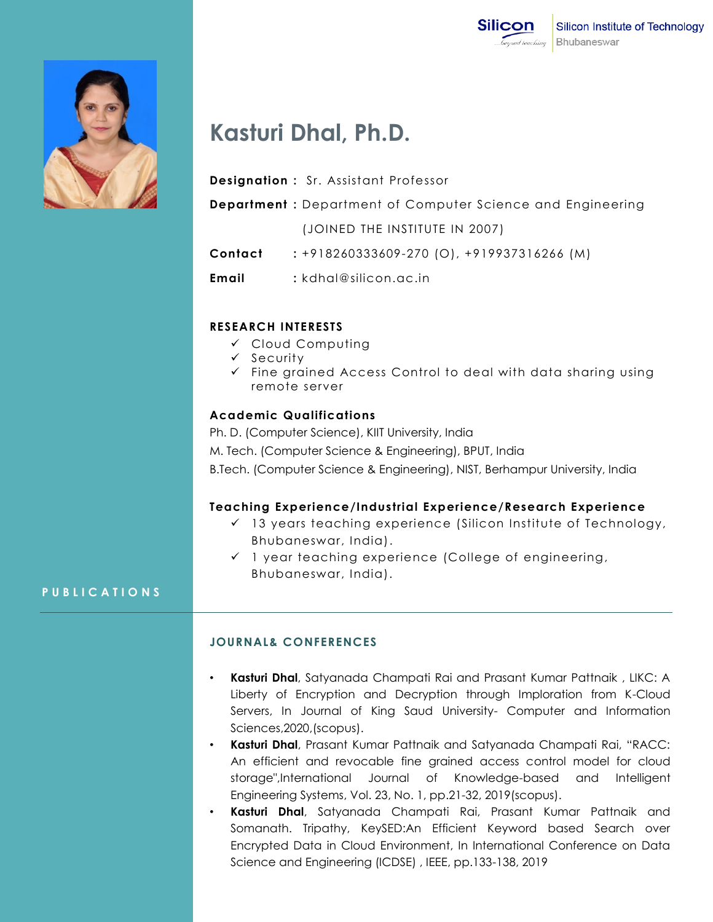

ce and Engineering



# **Kasturi Dhal, Ph.D.**

| <b>Designation:</b> Sr. Assistant Professor     |
|-------------------------------------------------|
| <b>Department:</b> Department of Computer Scien |

(JOINED THE INSTITUTE IN 2007)

**Contact :** +918260333609-270 (O), +919937316266 (M)

**Email :** kdhal@silicon.ac.in

## **RESEARCH INTERESTS**

- Cloud Computing
- $\checkmark$  Security
- $\checkmark$  Fine grained Access Control to deal with data sharing using remote server

#### **Academic Qualifications**

Ph. D. (Computer Science), KIIT University, India M. Tech. (Computer Science & Engineering), BPUT, India B.Tech. (Computer Science & Engineering), NIST, Berhampur University, India

### **Teaching Experience/Industrial Experience/Research Experience**

- $\checkmark$  13 years teaching experience (Silicon Institute of Technology, Bhubaneswar, India).
- $\checkmark$  1 year teaching experience (College of engineering, Bhubaneswar, India).

### **P U B L I C A T I O N S**

### **JOURNAL& CONFERENCES**

- **Kasturi Dhal**, Satyanada Champati Rai and Prasant Kumar Pattnaik , LIKC: A Liberty of Encryption and Decryption through Imploration from K-Cloud Servers, In Journal of King Saud University- Computer and Information Sciences,2020,(scopus).
- **Kasturi Dhal**, Prasant Kumar Pattnaik and Satyanada Champati Rai, "RACC: An efficient and revocable fine grained access control model for cloud storage",International Journal of Knowledge-based and Intelligent Engineering Systems, Vol. 23, No. 1, pp.21-32, 2019(scopus).
- **Kasturi Dhal**, Satyanada Champati Rai, Prasant Kumar Pattnaik and Somanath. Tripathy, KeySED:An Efficient Keyword based Search over Encrypted Data in Cloud Environment, In International Conference on Data Science and Engineering (ICDSE) , IEEE, pp.133-138, 2019